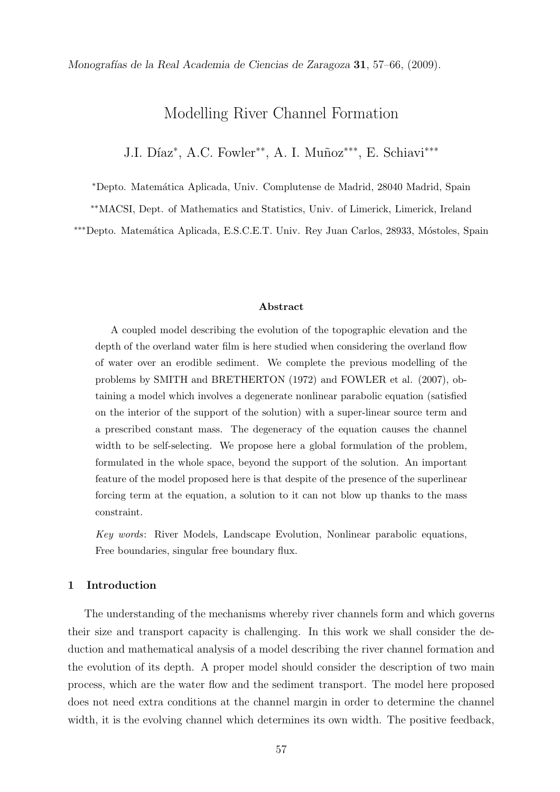Monograf´ıas de la Real Academia de Ciencias de Zaragoza 31, 57–66, (2009).

# Modelling River Channel Formation

J.I. Díaz\*, A.C. Fowler<sup>\*\*</sup>, A. I. Muñoz<sup>\*\*\*</sup>, E. Schiavi<sup>\*\*\*</sup>

<sup>∗</sup>Depto. Matem´atica Aplicada, Univ. Complutense de Madrid, 28040 Madrid, Spain

∗∗MACSI, Dept. of Mathematics and Statistics, Univ. of Limerick, Limerick, Ireland

∗∗∗Depto. Matem´atica Aplicada, E.S.C.E.T. Univ. Rey Juan Carlos, 28933, M´ostoles, Spain

## Abstract

A coupled model describing the evolution of the topographic elevation and the depth of the overland water film is here studied when considering the overland flow of water over an erodible sediment. We complete the previous modelling of the problems by SMITH and BRETHERTON (1972) and FOWLER et al. (2007), obtaining a model which involves a degenerate nonlinear parabolic equation (satisfied on the interior of the support of the solution) with a super-linear source term and a prescribed constant mass. The degeneracy of the equation causes the channel width to be self-selecting. We propose here a global formulation of the problem, formulated in the whole space, beyond the support of the solution. An important feature of the model proposed here is that despite of the presence of the superlinear forcing term at the equation, a solution to it can not blow up thanks to the mass constraint.

Key words: River Models, Landscape Evolution, Nonlinear parabolic equations, Free boundaries, singular free boundary flux.

## 1 Introduction

The understanding of the mechanisms whereby river channels form and which governs their size and transport capacity is challenging. In this work we shall consider the deduction and mathematical analysis of a model describing the river channel formation and the evolution of its depth. A proper model should consider the description of two main process, which are the water flow and the sediment transport. The model here proposed does not need extra conditions at the channel margin in order to determine the channel width, it is the evolving channel which determines its own width. The positive feedback,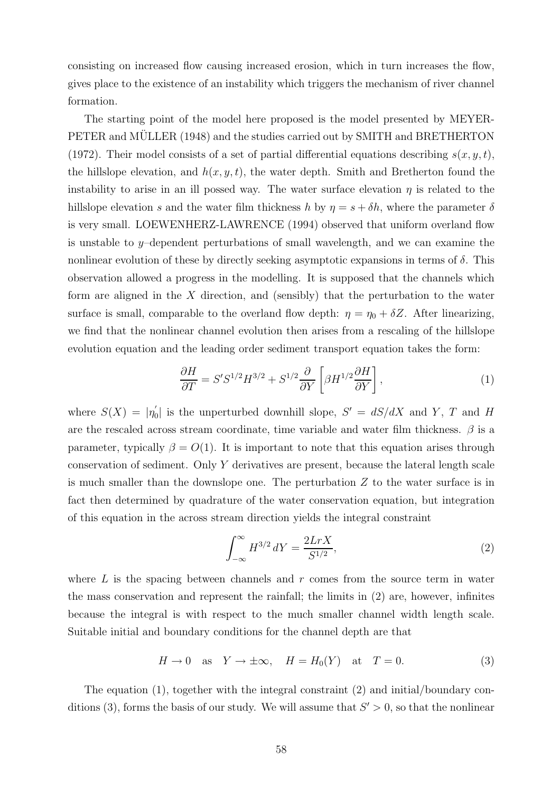consisting on increased flow causing increased erosion, which in turn increases the flow, gives place to the existence of an instability which triggers the mechanism of river channel formation.

The starting point of the model here proposed is the model presented by MEYER-PETER and MULLER (1948) and the studies carried out by SMITH and BRETHERTON (1972). Their model consists of a set of partial differential equations describing  $s(x, y, t)$ , the hillslope elevation, and  $h(x, y, t)$ , the water depth. Smith and Bretherton found the instability to arise in an ill possed way. The water surface elevation  $\eta$  is related to the hillslope elevation s and the water film thickness h by  $\eta = s + \delta h$ , where the parameter  $\delta$ is very small. LOEWENHERZ-LAWRENCE (1994) observed that uniform overland flow is unstable to y–dependent perturbations of small wavelength, and we can examine the nonlinear evolution of these by directly seeking asymptotic expansions in terms of  $\delta$ . This observation allowed a progress in the modelling. It is supposed that the channels which form are aligned in the  $X$  direction, and (sensibly) that the perturbation to the water surface is small, comparable to the overland flow depth:  $\eta = \eta_0 + \delta Z$ . After linearizing, we find that the nonlinear channel evolution then arises from a rescaling of the hillslope evolution equation and the leading order sediment transport equation takes the form:

$$
\frac{\partial H}{\partial T} = S'S^{1/2}H^{3/2} + S^{1/2}\frac{\partial}{\partial Y}\left[\beta H^{1/2}\frac{\partial H}{\partial Y}\right],\tag{1}
$$

where  $S(X) = |\eta'_0|$  $S_0$  is the unperturbed downhill slope,  $S' = dS/dX$  and Y, T and H are the rescaled across stream coordinate, time variable and water film thickness.  $\beta$  is a parameter, typically  $\beta = O(1)$ . It is important to note that this equation arises through conservation of sediment. Only Y derivatives are present, because the lateral length scale is much smaller than the downslope one. The perturbation  $Z$  to the water surface is in fact then determined by quadrature of the water conservation equation, but integration of this equation in the across stream direction yields the integral constraint

$$
\int_{-\infty}^{\infty} H^{3/2} \, dY = \frac{2LrX}{S^{1/2}},\tag{2}
$$

where  $L$  is the spacing between channels and  $r$  comes from the source term in water the mass conservation and represent the rainfall; the limits in (2) are, however, infinites because the integral is with respect to the much smaller channel width length scale. Suitable initial and boundary conditions for the channel depth are that

$$
H \to 0 \quad \text{as} \quad Y \to \pm \infty, \quad H = H_0(Y) \quad \text{at} \quad T = 0. \tag{3}
$$

The equation (1), together with the integral constraint (2) and initial/boundary conditions (3), forms the basis of our study. We will assume that  $S' > 0$ , so that the nonlinear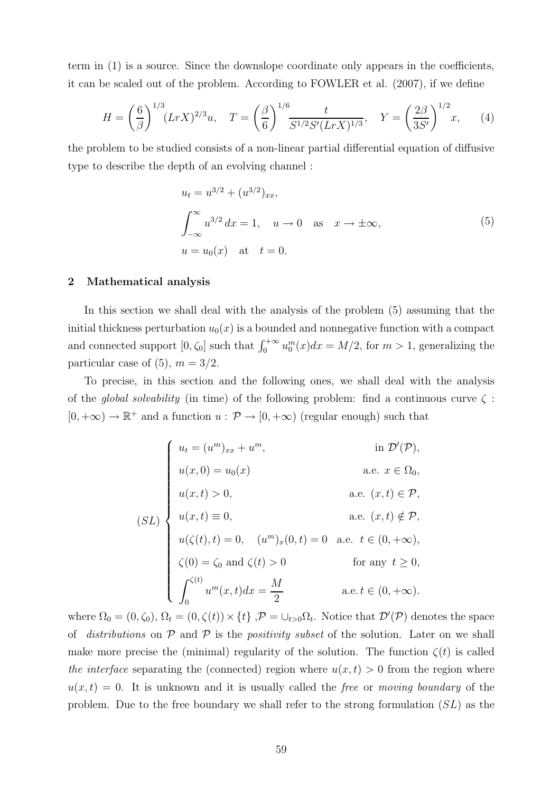term in (1) is a source. Since the downslope coordinate only appears in the coefficients, it can be scaled out of the problem. According to FOWLER et al. (2007), if we define

$$
H = \left(\frac{6}{\beta}\right)^{1/3} (LrX)^{2/3} u, \quad T = \left(\frac{\beta}{6}\right)^{1/6} \frac{t}{S^{1/2} S'(LrX)^{1/3}}, \quad Y = \left(\frac{2\beta}{3S'}\right)^{1/2} x, \tag{4}
$$

the problem to be studied consists of a non-linear partial differential equation of diffusive type to describe the depth of an evolving channel :

$$
u_t = u^{3/2} + (u^{3/2})_{xx},
$$
  
\n
$$
\int_{-\infty}^{\infty} u^{3/2} dx = 1, \quad u \to 0 \quad \text{as} \quad x \to \pm \infty,
$$
  
\n
$$
u = u_0(x) \quad \text{at} \quad t = 0.
$$
\n(5)

## 2 Mathematical analysis

In this section we shall deal with the analysis of the problem (5) assuming that the initial thickness perturbation  $u_0(x)$  is a bounded and nonnegative function with a compact and connected support  $[0, \zeta_0]$  such that  $\int_0^{+\infty} u_0^m(x)dx = M/2$ , for  $m > 1$ , generalizing the particular case of (5),  $m = 3/2$ .

To precise, in this section and the following ones, we shall deal with the analysis of the global solvability (in time) of the following problem: find a continuous curve  $\zeta$ :  $[0, +\infty) \to \mathbb{R}^+$  and a function  $u : \mathcal{P} \to [0, +\infty)$  (regular enough) such that

$$
(SL)
$$
\n
$$
\begin{cases}\nu_t = (u^m)_{xx} + u^m, & \text{in } \mathcal{D}'(\mathcal{P}), \\
u(x, 0) = u_0(x) & \text{a.e. } x \in \Omega_0, \\
u(x, t) > 0, & \text{a.e. } (x, t) \in \mathcal{P}, \\
u(x, t) \equiv 0, & \text{a.e. } (x, t) \notin \mathcal{P}, \\
u(\zeta(t), t) = 0, & (u^m)_x(0, t) = 0 & \text{a.e. } t \in (0, +\infty), \\
\zeta(0) = \zeta_0 \text{ and } \zeta(t) > 0 & \text{for any } t \ge 0, \\
\int_0^{\zeta(t)} u^m(x, t) dx = \frac{M}{2} & \text{a.e. } t \in (0, +\infty).\n\end{cases}
$$

where  $\Omega_0 = (0, \zeta_0), \Omega_t = (0, \zeta(t)) \times \{t\}$ ,  $\mathcal{P} = \cup_{t>0} \Omega_t$ . Notice that  $\mathcal{D}'(\mathcal{P})$  denotes the space of distributions on  $P$  and  $P$  is the *positivity subset* of the solution. Later on we shall make more precise the (minimal) regularity of the solution. The function  $\zeta(t)$  is called the interface separating the (connected) region where  $u(x, t) > 0$  from the region where  $u(x, t) = 0$ . It is unknown and it is usually called the free or moving boundary of the problem. Due to the free boundary we shall refer to the strong formulation  $(SL)$  as the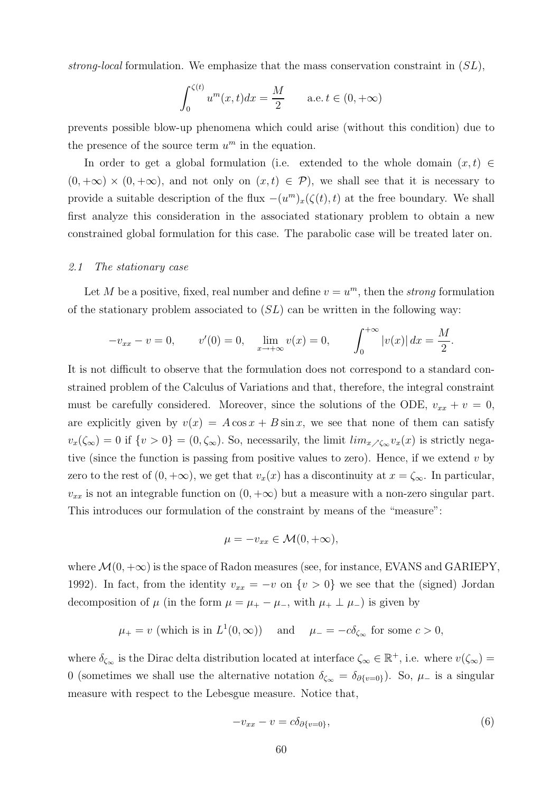strong-local formulation. We emphasize that the mass conservation constraint in  $(SL)$ ,

$$
\int_0^{\zeta(t)} u^m(x, t) dx = \frac{M}{2} \quad \text{a.e. } t \in (0, +\infty)
$$

prevents possible blow-up phenomena which could arise (without this condition) due to the presence of the source term  $u^m$  in the equation.

In order to get a global formulation (i.e. extended to the whole domain  $(x, t) \in$  $(0, +\infty) \times (0, +\infty)$ , and not only on  $(x, t) \in \mathcal{P}$ , we shall see that it is necessary to provide a suitable description of the flux  $-(u^m)_x(\zeta(t), t)$  at the free boundary. We shall first analyze this consideration in the associated stationary problem to obtain a new constrained global formulation for this case. The parabolic case will be treated later on.

## 2.1 The stationary case

Let M be a positive, fixed, real number and define  $v = u<sup>m</sup>$ , then the *strong* formulation of the stationary problem associated to  $(S<sub>L</sub>)$  can be written in the following way:

$$
-v_{xx} - v = 0, \t v'(0) = 0, \t \lim_{x \to +\infty} v(x) = 0, \t \int_0^{+\infty} |v(x)| dx = \frac{M}{2}.
$$

It is not difficult to observe that the formulation does not correspond to a standard constrained problem of the Calculus of Variations and that, therefore, the integral constraint must be carefully considered. Moreover, since the solutions of the ODE,  $v_{xx} + v = 0$ , are explicitly given by  $v(x) = A \cos x + B \sin x$ , we see that none of them can satisfy  $v_x(\zeta_\infty) = 0$  if  $\{v > 0\} = (0, \zeta_\infty)$ . So, necessarily, the limit  $\lim_{x \to \zeta_\infty} v_x(x)$  is strictly negative (since the function is passing from positive values to zero). Hence, if we extend  $v$  by zero to the rest of  $(0, +\infty)$ , we get that  $v_x(x)$  has a discontinuity at  $x = \zeta_\infty$ . In particular,  $v_{xx}$  is not an integrable function on  $(0, +\infty)$  but a measure with a non-zero singular part. This introduces our formulation of the constraint by means of the "measure":

$$
\mu = -v_{xx} \in \mathcal{M}(0, +\infty),
$$

where  $\mathcal{M}(0, +\infty)$  is the space of Radon measures (see, for instance, EVANS and GARIEPY, 1992). In fact, from the identity  $v_{xx} = -v$  on  $\{v > 0\}$  we see that the (signed) Jordan decomposition of  $\mu$  (in the form  $\mu = \mu_+ - \mu_-,$  with  $\mu_+ \perp \mu_-$ ) is given by

$$
\mu_+ = v
$$
 (which is in  $L^1(0, \infty)$ ) and  $\mu_- = -c\delta_{\zeta_{\infty}}$  for some  $c > 0$ ,

where  $\delta_{\zeta_{\infty}}$  is the Dirac delta distribution located at interface  $\zeta_{\infty} \in \mathbb{R}^+$ , i.e. where  $v(\zeta_{\infty}) =$ 0 (sometimes we shall use the alternative notation  $\delta_{\zeta_{\infty}} = \delta_{\partial \{v=0\}}$ ). So,  $\mu$ – is a singular measure with respect to the Lebesgue measure. Notice that,

$$
-v_{xx} - v = c\delta_{\partial\{v=0\}},\tag{6}
$$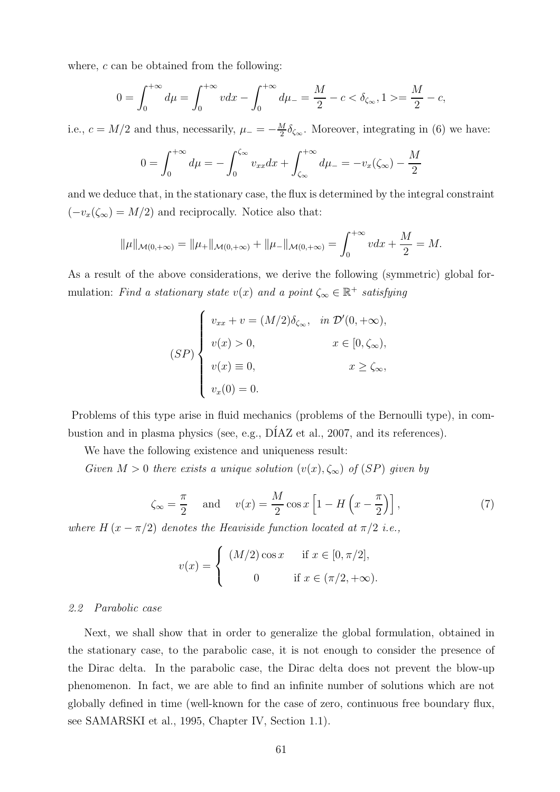where,  $c$  can be obtained from the following:

$$
0 = \int_0^{+\infty} d\mu = \int_0^{+\infty} v dx - \int_0^{+\infty} d\mu = \frac{M}{2} - c < \delta_{\zeta_{\infty}}, 1 > = \frac{M}{2} - c,
$$

i.e.,  $c = M/2$  and thus, necessarily,  $\mu = -\frac{M}{2}$  $\frac{M}{2}\delta_{\zeta_{\infty}}$ . Moreover, integrating in (6) we have:

$$
0 = \int_0^{+\infty} d\mu = -\int_0^{\zeta_{\infty}} v_{xx} dx + \int_{\zeta_{\infty}}^{+\infty} d\mu = -v_x(\zeta_{\infty}) - \frac{M}{2}
$$

and we deduce that, in the stationary case, the flux is determined by the integral constraint  $(-v_x(\zeta_{\infty}) = M/2)$  and reciprocally. Notice also that:

$$
\|\mu\|_{\mathcal{M}(0,+\infty)} = \|\mu_+\|_{\mathcal{M}(0,+\infty)} + \|\mu_-\|_{\mathcal{M}(0,+\infty)} = \int_0^{+\infty} v dx + \frac{M}{2} = M.
$$

As a result of the above considerations, we derive the following (symmetric) global formulation: Find a stationary state  $v(x)$  and a point  $\zeta_{\infty} \in \mathbb{R}^+$  satisfying

$$
(SP)\begin{cases} v_{xx} + v = (M/2)\delta_{\zeta_{\infty}}, & \text{in } \mathcal{D}'(0, +\infty), \\ v(x) > 0, & x \in [0, \zeta_{\infty}), \\ v(x) \equiv 0, & x \ge \zeta_{\infty}, \\ v_x(0) = 0. & \end{cases}
$$

Problems of this type arise in fluid mechanics (problems of the Bernoulli type), in combustion and in plasma physics (see, e.g., DÍAZ et al., 2007, and its references).

We have the following existence and uniqueness result:

Given  $M > 0$  there exists a unique solution  $(v(x), \zeta_{\infty})$  of  $(SP)$  given by

$$
\zeta_{\infty} = \frac{\pi}{2} \quad \text{and} \quad v(x) = \frac{M}{2} \cos x \left[ 1 - H\left(x - \frac{\pi}{2}\right) \right],\tag{7}
$$

where  $H(x - \pi/2)$  denotes the Heaviside function located at  $\pi/2$  i.e.,

$$
v(x) = \begin{cases} (M/2)\cos x & \text{if } x \in [0, \pi/2], \\ 0 & \text{if } x \in (\pi/2, +\infty). \end{cases}
$$

## 2.2 Parabolic case

Next, we shall show that in order to generalize the global formulation, obtained in the stationary case, to the parabolic case, it is not enough to consider the presence of the Dirac delta. In the parabolic case, the Dirac delta does not prevent the blow-up phenomenon. In fact, we are able to find an infinite number of solutions which are not globally defined in time (well-known for the case of zero, continuous free boundary flux, see SAMARSKI et al., 1995, Chapter IV, Section 1.1).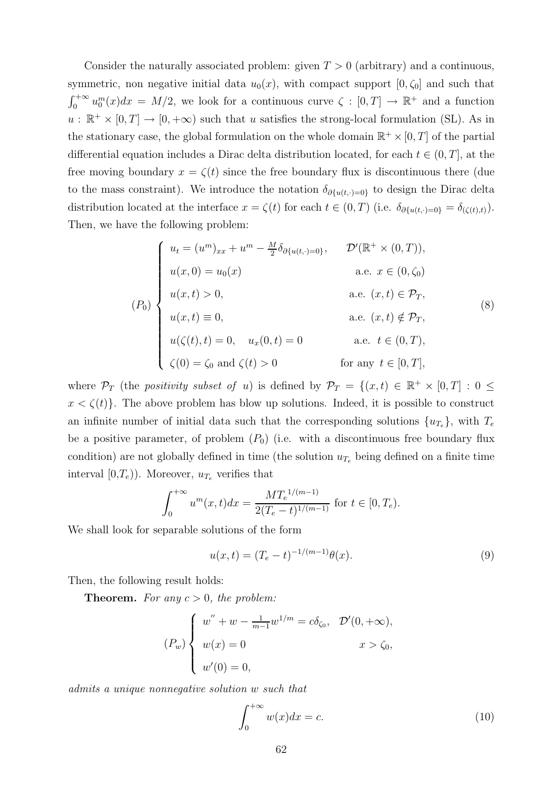Consider the naturally associated problem: given  $T > 0$  (arbitrary) and a continuous, symmetric, non negative initial data  $u_0(x)$ , with compact support  $[0, \zeta_0]$  and such that  $\int_0^{+\infty} u_0^m(x)dx = M/2$ , we look for a continuous curve  $\zeta : [0, T] \to \mathbb{R}^+$  and a function  $u : \mathbb{R}^+ \times [0,T] \to [0,+\infty)$  such that u satisfies the strong-local formulation (SL). As in the stationary case, the global formulation on the whole domain  $\mathbb{R}^+ \times [0, T]$  of the partial differential equation includes a Dirac delta distribution located, for each  $t \in (0, T]$ , at the free moving boundary  $x = \zeta(t)$  since the free boundary flux is discontinuous there (due to the mass constraint). We introduce the notation  $\delta_{\partial \{u(t,\cdot)=0\}}$  to design the Dirac delta distribution located at the interface  $x = \zeta(t)$  for each  $t \in (0, T)$  (i.e.  $\delta_{\partial \{u(t, \cdot) = 0\}} = \delta_{(\zeta(t), t)}$ ). Then, we have the following problem:

$$
(P_0)
$$
\n
$$
(P_1)
$$
\n
$$
u(x, t) = 0,
$$
\n
$$
u(\zeta(t), t) = 0, \quad u_x(0, t) = 0
$$
\n
$$
u(\zeta(t), t) = 0, \quad u_x(0, t) = 0
$$
\n
$$
u(\zeta(t), t) = 0, \quad u_x(0, t) = 0
$$
\n
$$
u(\zeta(t), t) = 0, \quad u_x(0, t) = 0
$$
\n
$$
u(\zeta(t), t) = 0, \quad u_x(0, t) = 0
$$
\n
$$
u(\zeta(t), t) = 0, \quad u_x(0, t) = 0
$$
\n
$$
u(\zeta(t), t) = 0, \quad u_x(0, t) = 0
$$
\n
$$
u(\zeta(t), t) = 0, \quad u_x(0, t) = 0
$$
\n
$$
u(\zeta(t), t) = 0, \quad u_x(0, t) = 0
$$
\n
$$
u(\zeta(t), t) = 0, \quad u_x(0, t) = 0
$$
\n
$$
u(\zeta(t), t) = 0, \quad u_x(0, t) = 0
$$
\n
$$
u(\zeta(t), t) = 0, \quad u_x(0, t) = 0
$$
\n
$$
u(\zeta(t), t) = 0, \quad u_x(0, t) = 0
$$
\n
$$
u(\zeta(t), t) = 0, \quad u_x(0, t) = 0
$$
\n
$$
u(\zeta(t), t) = 0, \quad u_x(0, t) = 0
$$
\n
$$
u(\zeta(t), t) = 0, \quad u_x(0, t) = 0
$$
\n
$$
u(\zeta(t), t) = 0, \quad u_x(0, t) = 0
$$
\n
$$
u(\zeta(t), t) = 0, \quad u_x(0, t) = 0
$$
\n
$$
u(\zeta(t), t) = 0, \quad u_x(0, t) = 0
$$
\n
$$
u(\zeta(t), t) = 0, \quad u_x(0, t) = 0
$$
\n
$$
u(\zeta(t), t) = 0, \quad u_x(0, t) = 0
$$
\n
$$
u
$$

where  $\mathcal{P}_T$  (the *positivity subset of u*) is defined by  $\mathcal{P}_T = \{(x,t) \in \mathbb{R}^+ \times [0,T] : 0 \le$  $x < \zeta(t)$ . The above problem has blow up solutions. Indeed, it is possible to construct an infinite number of initial data such that the corresponding solutions  $\{u_{T_e}\}\$ , with  $T_e$ be a positive parameter, of problem  $(P_0)$  (i.e. with a discontinuous free boundary flux condition) are not globally defined in time (the solution  $u_{T_e}$  being defined on a finite time interval  $[0,T_e)$ ). Moreover,  $u_{T_e}$  verifies that

$$
\int_0^{+\infty} u^m(x,t)dx = \frac{MT_e^{1/(m-1)}}{2(T_e-t)^{1/(m-1)}} \text{ for } t \in [0,T_e).
$$

We shall look for separable solutions of the form

$$
u(x,t) = (T_e - t)^{-1/(m-1)}\theta(x).
$$
\n(9)

Then, the following result holds:

**Theorem.** For any  $c > 0$ , the problem:

$$
(P_w)\begin{cases} w'' + w - \frac{1}{m-1}w^{1/m} = c\delta_{\zeta_0}, & \mathcal{D}'(0, +\infty), \\ w(x) = 0 & x > \zeta_0, \\ w'(0) = 0, & \end{cases}
$$

admits a unique nonnegative solution w such that

$$
\int_0^{+\infty} w(x)dx = c.
$$
 (10)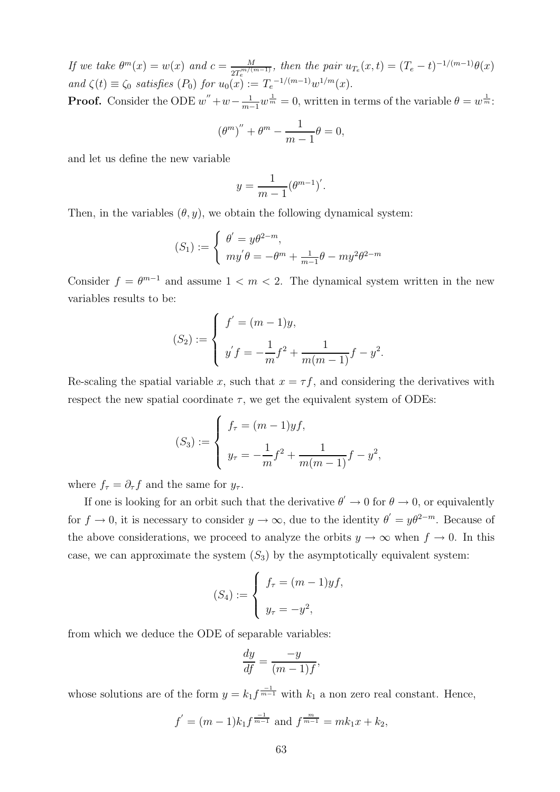If we take  $\theta^m(x) = w(x)$  and  $c = \frac{M}{2\pi^{m/(4)}}$  $\frac{M}{2T_e^{m/(m-1)}},$  then the pair  $u_{T_e}(x,t) = (T_e - t)^{-1/(m-1)}\theta(x)$ and  $\zeta(t) \equiv \zeta_0$  satisfies  $(P_0)$  for  $u_0(x) := T_e^{-1/(m-1)}w^{1/m}(x)$ .

**Proof.** Consider the ODE  $w'' + w - \frac{1}{m-1}w^{\frac{1}{m}} = 0$ , written in terms of the variable  $\theta = w^{\frac{1}{m}}$ .

$$
\left(\theta^m\right)^{\prime\prime} + \theta^m - \frac{1}{m-1}\theta = 0,
$$

and let us define the new variable

$$
y = \frac{1}{m-1} (\theta^{m-1})'.
$$

Then, in the variables  $(\theta, y)$ , we obtain the following dynamical system:

$$
(S_1) := \begin{cases} \theta' = y\theta^{2-m}, \\ my'\theta = -\theta^m + \frac{1}{m-1}\theta - my^2\theta^{2-m} \end{cases}
$$

Consider  $f = \theta^{m-1}$  and assume  $1 < m < 2$ . The dynamical system written in the new variables results to be:

$$
(S_2) := \begin{cases} f' = (m-1)y, \\ y'f = -\frac{1}{m}f^2 + \frac{1}{m(m-1)}f - y^2. \end{cases}
$$

Re-scaling the spatial variable x, such that  $x = \tau f$ , and considering the derivatives with respect the new spatial coordinate  $\tau$ , we get the equivalent system of ODEs:

$$
(S_3) := \begin{cases} f_\tau = (m-1) y f, \\ y_\tau = -\frac{1}{m} f^2 + \frac{1}{m(m-1)} f - y^2, \end{cases}
$$

where  $f_{\tau} = \partial_{\tau} f$  and the same for  $y_{\tau}$ .

If one is looking for an orbit such that the derivative  $\theta' \to 0$  for  $\theta \to 0$ , or equivalently for  $f \to 0$ , it is necessary to consider  $y \to \infty$ , due to the identity  $\theta' = y\theta^{2-m}$ . Because of the above considerations, we proceed to analyze the orbits  $y \to \infty$  when  $f \to 0$ . In this case, we can approximate the system  $(S_3)$  by the asymptotically equivalent system:

$$
(S_4) := \begin{cases} f_{\tau} = (m-1) y f, \\ y_{\tau} = -y^2, \end{cases}
$$

from which we deduce the ODE of separable variables:

$$
\frac{dy}{df} = \frac{-y}{(m-1)f},
$$

whose solutions are of the form  $y = k_1 f^{\frac{-1}{m-1}}$  with  $k_1$  a non zero real constant. Hence,

$$
f' = (m-1)k_1 f^{\frac{-1}{m-1}}
$$
 and  $f^{\frac{m}{m-1}} = mk_1 x + k_2$ ,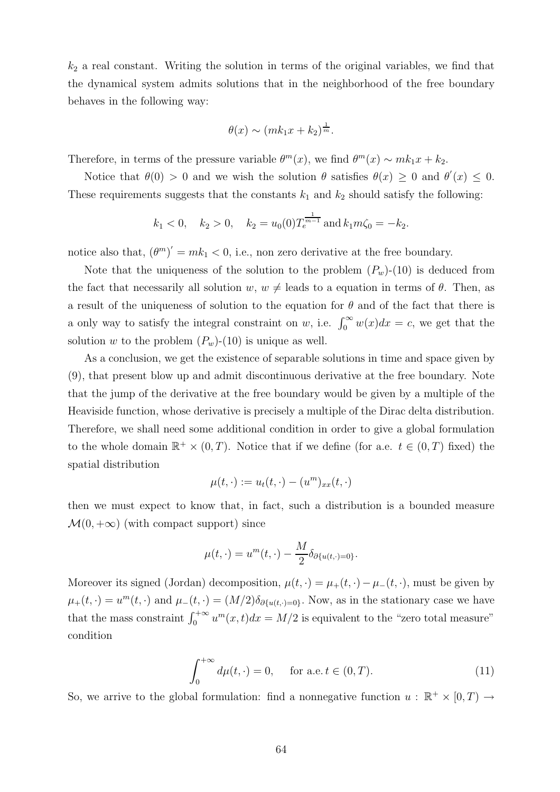$k<sub>2</sub>$  a real constant. Writing the solution in terms of the original variables, we find that the dynamical system admits solutions that in the neighborhood of the free boundary behaves in the following way:

$$
\theta(x) \sim (mk_1x + k_2)^{\frac{1}{m}}.
$$

Therefore, in terms of the pressure variable  $\theta^m(x)$ , we find  $\theta^m(x) \sim mk_1x + k_2$ .

Notice that  $\theta(0) > 0$  and we wish the solution  $\theta$  satisfies  $\theta(x) \geq 0$  and  $\theta'(x) \leq 0$ . These requirements suggests that the constants  $k_1$  and  $k_2$  should satisfy the following:

$$
k_1 < 0
$$
,  $k_2 > 0$ ,  $k_2 = u_0(0)T_e^{\frac{1}{m-1}}$  and  $k_1m\zeta_0 = -k_2$ .

notice also that,  $(\theta^m)' = mk_1 < 0$ , i.e., non zero derivative at the free boundary.

Note that the uniqueness of the solution to the problem  $(P_w)$ -(10) is deduced from the fact that necessarily all solution  $w, w \neq$  leads to a equation in terms of  $\theta$ . Then, as a result of the uniqueness of solution to the equation for  $\theta$  and of the fact that there is a only way to satisfy the integral constraint on w, i.e.  $\int_0^\infty w(x)dx = c$ , we get that the solution w to the problem  $(P_w)$ -(10) is unique as well.

As a conclusion, we get the existence of separable solutions in time and space given by (9), that present blow up and admit discontinuous derivative at the free boundary. Note that the jump of the derivative at the free boundary would be given by a multiple of the Heaviside function, whose derivative is precisely a multiple of the Dirac delta distribution. Therefore, we shall need some additional condition in order to give a global formulation to the whole domain  $\mathbb{R}^+ \times (0,T)$ . Notice that if we define (for a.e.  $t \in (0,T)$  fixed) the spatial distribution

$$
\mu(t,\cdot) := u_t(t,\cdot) - (u^m)_{xx}(t,\cdot)
$$

then we must expect to know that, in fact, such a distribution is a bounded measure  $\mathcal{M}(0, +\infty)$  (with compact support) since

$$
\mu(t,\cdot)=u^m(t,\cdot)-\frac{M}{2}\delta_{\partial\{u(t,\cdot)=0\}}.
$$

Moreover its signed (Jordan) decomposition,  $\mu(t, \cdot) = \mu_+(t, \cdot) - \mu_-(t, \cdot)$ , must be given by  $\mu_+(t, \cdot) = u^m(t, \cdot)$  and  $\mu_-(t, \cdot) = (M/2) \delta_{\partial \{u(t, \cdot) = 0\}}$ . Now, as in the stationary case we have that the mass constraint  $\int_0^{+\infty} u^m(x,t)dx = M/2$  is equivalent to the "zero total measure" condition

$$
\int_0^{+\infty} d\mu(t, \cdot) = 0, \quad \text{for a.e. } t \in (0, T). \tag{11}
$$

So, we arrive to the global formulation: find a nonnegative function  $u : \mathbb{R}^+ \times [0, T) \to$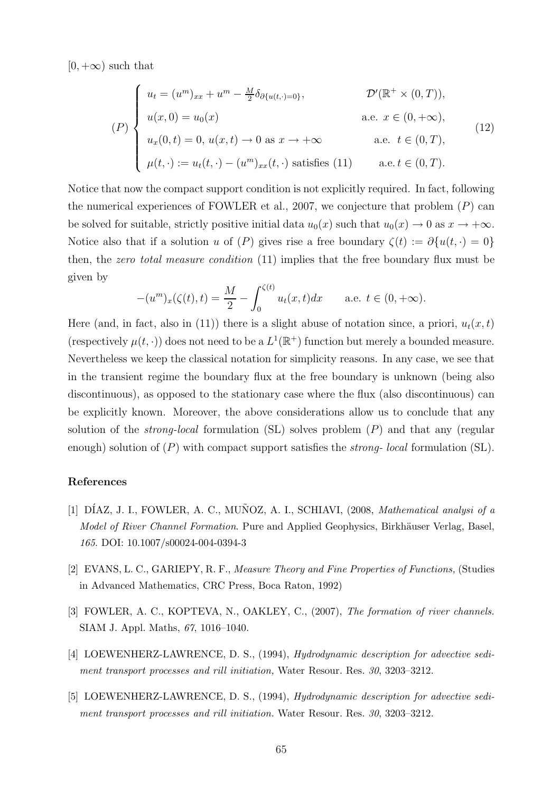$[0, +\infty)$  such that

$$
(P) \begin{cases} u_t = (u^m)_{xx} + u^m - \frac{M}{2} \delta_{\partial \{u(t, \cdot) = 0\}}, & \mathcal{D}'(\mathbb{R}^+ \times (0, T)), \\ u(x, 0) = u_0(x) & \text{a.e. } x \in (0, +\infty), \\ u_x(0, t) = 0, u(x, t) \to 0 \text{ as } x \to +\infty & \text{a.e. } t \in (0, T), \\ \mu(t, \cdot) := u_t(t, \cdot) - (u^m)_{xx}(t, \cdot) \text{ satisfies (11)} & \text{a.e. } t \in (0, T). \end{cases}
$$
(12)

Notice that now the compact support condition is not explicitly required. In fact, following the numerical experiences of FOWLER et al., 2007, we conjecture that problem  $(P)$  can be solved for suitable, strictly positive initial data  $u_0(x)$  such that  $u_0(x) \to 0$  as  $x \to +\infty$ . Notice also that if a solution u of  $(P)$  gives rise a free boundary  $\zeta(t) := \partial \{u(t, \cdot) = 0\}$ then, the *zero total measure condition* (11) implies that the free boundary flux must be given by

$$
-(u^{m})_{x}(\zeta(t), t) = \frac{M}{2} - \int_{0}^{\zeta(t)} u_{t}(x, t) dx \quad \text{a.e. } t \in (0, +\infty).
$$

Here (and, in fact, also in (11)) there is a slight abuse of notation since, a priori,  $u_t(x,t)$ (respectively  $\mu(t, \cdot)$ ) does not need to be a  $L^1(\mathbb{R}^+)$  function but merely a bounded measure. Nevertheless we keep the classical notation for simplicity reasons. In any case, we see that in the transient regime the boundary flux at the free boundary is unknown (being also discontinuous), as opposed to the stationary case where the flux (also discontinuous) can be explicitly known. Moreover, the above considerations allow us to conclude that any solution of the *strong-local* formulation  $(S<sub>L</sub>)$  solves problem  $(P)$  and that any (regular enough) solution of  $(P)$  with compact support satisfies the *strong-local* formulation  $(S<sub>L</sub>)$ .

## References

- [1] DÍAZ, J. I., FOWLER, A. C., MUÑOZ, A. I., SCHIAVI, (2008, *Mathematical analysi of a* Model of River Channel Formation. Pure and Applied Geophysics, Birkhäuser Verlag, Basel, 165. DOI: 10.1007/s00024-004-0394-3
- [2] EVANS, L. C., GARIEPY, R. F., Measure Theory and Fine Properties of Functions, (Studies in Advanced Mathematics, CRC Press, Boca Raton, 1992)
- [3] FOWLER, A. C., KOPTEVA, N., OAKLEY, C., (2007), The formation of river channels. SIAM J. Appl. Maths, 67, 1016–1040.
- [4] LOEWENHERZ-LAWRENCE, D. S., (1994), Hydrodynamic description for advective sediment transport processes and rill initiation, Water Resour. Res. 30, 3203-3212.
- [5] LOEWENHERZ-LAWRENCE, D. S., (1994), Hydrodynamic description for advective sediment transport processes and rill initiation. Water Resour. Res. 30, 3203-3212.